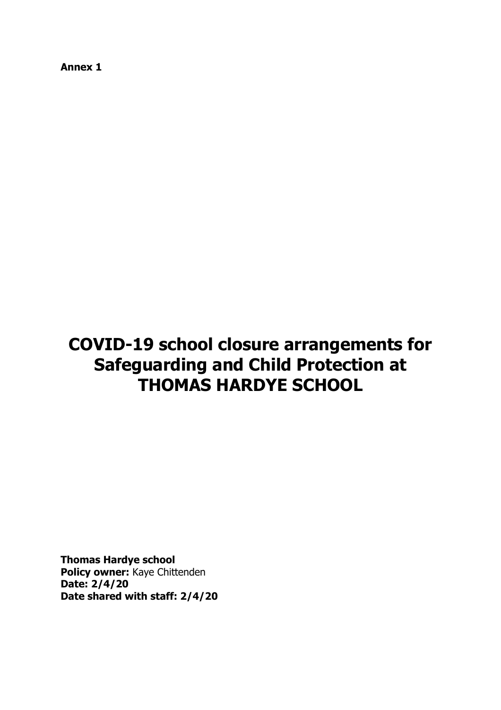**Annex 1**

# **COVID-19 school closure arrangements for Safeguarding and Child Protection at THOMAS HARDYE SCHOOL**

**Thomas Hardye school Policy owner:** Kaye Chittenden **Date: 2/4/20 Date shared with staff: 2/4/20**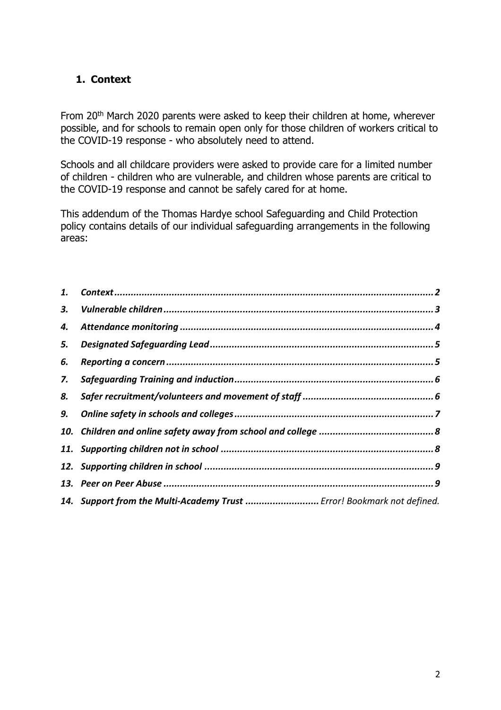# <span id="page-1-0"></span>**1. Context**

From 20<sup>th</sup> March 2020 parents were asked to keep their children at home, wherever possible, and for schools to remain open only for those children of workers critical to the COVID-19 response - who absolutely need to attend.

Schools and all childcare providers were asked to provide care for a limited number of children - children who are vulnerable, and children whose parents are critical to the COVID-19 response and cannot be safely cared for at home.

This addendum of the Thomas Hardye school Safeguarding and Child Protection policy contains details of our individual safeguarding arrangements in the following areas:

| 1. |                                                                        |  |
|----|------------------------------------------------------------------------|--|
| З. |                                                                        |  |
| 4. |                                                                        |  |
| 5. |                                                                        |  |
| 6. |                                                                        |  |
| 7. |                                                                        |  |
| 8. |                                                                        |  |
| 9. |                                                                        |  |
|    |                                                                        |  |
|    |                                                                        |  |
|    |                                                                        |  |
|    |                                                                        |  |
|    | 14. Support from the Multi-Academy Trust  Error! Bookmark not defined. |  |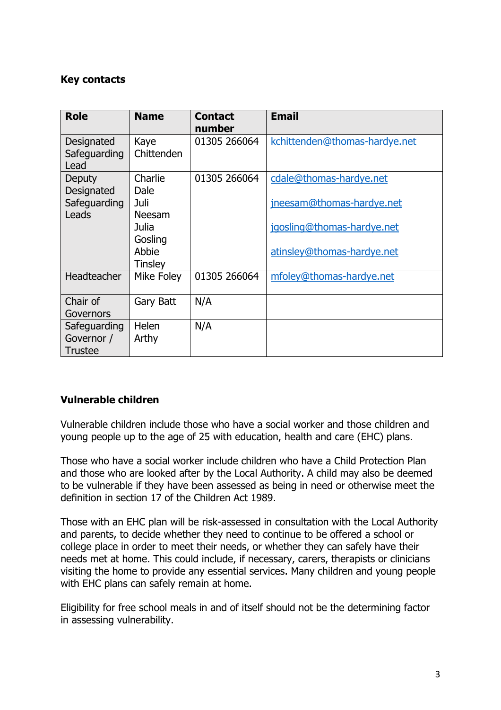## **Key contacts**

| <b>Role</b>                                  | <b>Name</b>                                           | <b>Contact</b><br>number | <b>Email</b>                                             |
|----------------------------------------------|-------------------------------------------------------|--------------------------|----------------------------------------------------------|
| Designated<br>Safeguarding<br>Lead           | Kaye<br>Chittenden                                    | 01305 266064             | kchittenden@thomas-hardye.net                            |
| Deputy<br>Designated<br>Safeguarding         | Charlie<br>Dale<br>Juli                               | 01305 266064             | cdale@thomas-hardye.net<br>jneesam@thomas-hardye.net     |
| Leads                                        | Neesam<br>Julia<br>Gosling<br>Abbie<br><b>Tinsley</b> |                          | jqosling@thomas-hardye.net<br>atinsley@thomas-hardye.net |
| <b>Headteacher</b>                           | Mike Foley                                            | 01305 266064             | mfoley@thomas-hardye.net                                 |
| Chair of<br>Governors                        | Gary Batt                                             | N/A                      |                                                          |
| Safeguarding<br>Governor /<br><b>Trustee</b> | Helen<br>Arthy                                        | N/A                      |                                                          |

### <span id="page-2-0"></span>**Vulnerable children**

Vulnerable children include those who have a social worker and those children and young people up to the age of 25 with education, health and care (EHC) plans.

Those who have a social worker include children who have a Child Protection Plan and those who are looked after by the Local Authority. A child may also be deemed to be vulnerable if they have been assessed as being in need or otherwise meet the definition in section 17 of the Children Act 1989.

Those with an EHC plan will be risk-assessed in consultation with the Local Authority and parents, to decide whether they need to continue to be offered a school or college place in order to meet their needs, or whether they can safely have their needs met at home. This could include, if necessary, carers, therapists or clinicians visiting the home to provide any essential services. Many children and young people with EHC plans can safely remain at home.

Eligibility for free school meals in and of itself should not be the determining factor in assessing vulnerability.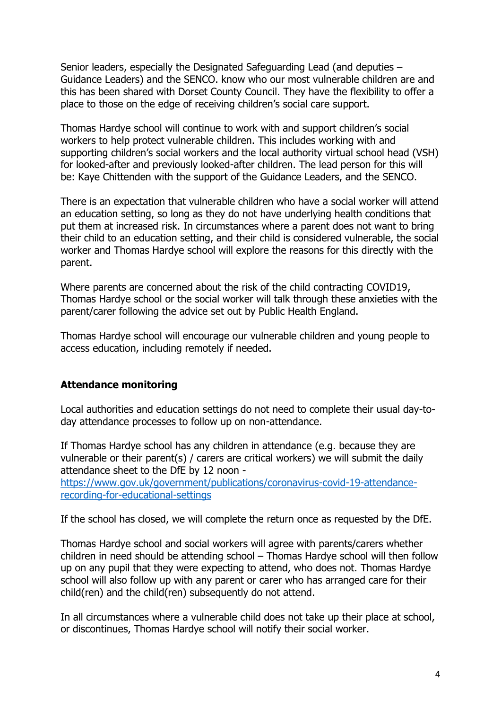Senior leaders, especially the Designated Safeguarding Lead (and deputies – Guidance Leaders) and the SENCO. know who our most vulnerable children are and this has been shared with Dorset County Council. They have the flexibility to offer a place to those on the edge of receiving children's social care support.

Thomas Hardye school will continue to work with and support children's social workers to help protect vulnerable children. This includes working with and supporting children's social workers and the local authority virtual school head (VSH) for looked-after and previously looked-after children. The lead person for this will be: Kaye Chittenden with the support of the Guidance Leaders, and the SENCO.

There is an expectation that vulnerable children who have a social worker will attend an education setting, so long as they do not have underlying health conditions that put them at increased risk. In circumstances where a parent does not want to bring their child to an education setting, and their child is considered vulnerable, the social worker and Thomas Hardye school will explore the reasons for this directly with the parent.

Where parents are concerned about the risk of the child contracting COVID19, Thomas Hardye school or the social worker will talk through these anxieties with the parent/carer following the advice set out by Public Health England.

Thomas Hardye school will encourage our vulnerable children and young people to access education, including remotely if needed.

#### <span id="page-3-0"></span>**Attendance monitoring**

Local authorities and education settings do not need to complete their usual day-today attendance processes to follow up on non-attendance.

If Thomas Hardye school has any children in attendance (e.g. because they are vulnerable or their parent(s) / carers are critical workers) we will submit the daily attendance sheet to the DfE by 12 noon -

[https://www.gov.uk/government/publications/coronavirus-covid-19-attendance](https://www.gov.uk/government/publications/coronavirus-covid-19-attendance-recording-for-educational-settings)[recording-for-educational-settings](https://www.gov.uk/government/publications/coronavirus-covid-19-attendance-recording-for-educational-settings)

If the school has closed, we will complete the return once as requested by the DfE.

Thomas Hardye school and social workers will agree with parents/carers whether children in need should be attending school – Thomas Hardye school will then follow up on any pupil that they were expecting to attend, who does not. Thomas Hardye school will also follow up with any parent or carer who has arranged care for their child(ren) and the child(ren) subsequently do not attend.

In all circumstances where a vulnerable child does not take up their place at school, or discontinues, Thomas Hardye school will notify their social worker.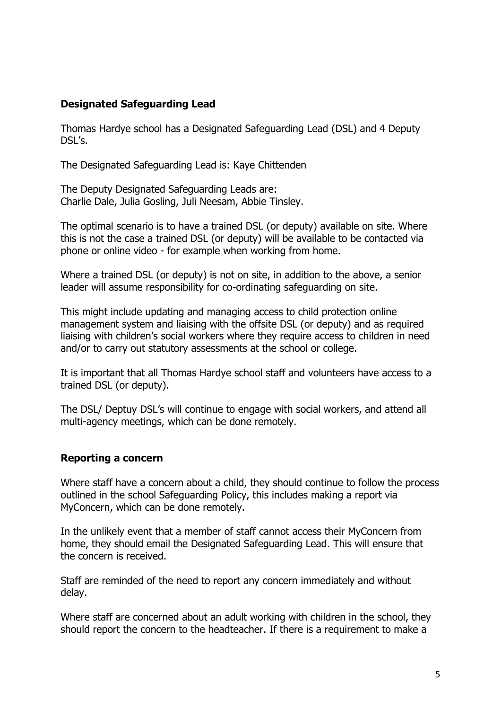# <span id="page-4-0"></span>**Designated Safeguarding Lead**

Thomas Hardye school has a Designated Safeguarding Lead (DSL) and 4 Deputy DSL's.

The Designated Safeguarding Lead is: Kaye Chittenden

The Deputy Designated Safeguarding Leads are: Charlie Dale, Julia Gosling, Juli Neesam, Abbie Tinsley.

The optimal scenario is to have a trained DSL (or deputy) available on site. Where this is not the case a trained DSL (or deputy) will be available to be contacted via phone or online video - for example when working from home.

Where a trained DSL (or deputy) is not on site, in addition to the above, a senior leader will assume responsibility for co-ordinating safeguarding on site.

This might include updating and managing access to child protection online management system and liaising with the offsite DSL (or deputy) and as required liaising with children's social workers where they require access to children in need and/or to carry out statutory assessments at the school or college.

It is important that all Thomas Hardye school staff and volunteers have access to a trained DSL (or deputy).

The DSL/ Deptuy DSL's will continue to engage with social workers, and attend all multi-agency meetings, which can be done remotely.

### <span id="page-4-1"></span>**Reporting a concern**

Where staff have a concern about a child, they should continue to follow the process outlined in the school Safeguarding Policy, this includes making a report via MyConcern, which can be done remotely.

In the unlikely event that a member of staff cannot access their MyConcern from home, they should email the Designated Safeguarding Lead. This will ensure that the concern is received.

Staff are reminded of the need to report any concern immediately and without delay.

Where staff are concerned about an adult working with children in the school, they should report the concern to the headteacher. If there is a requirement to make a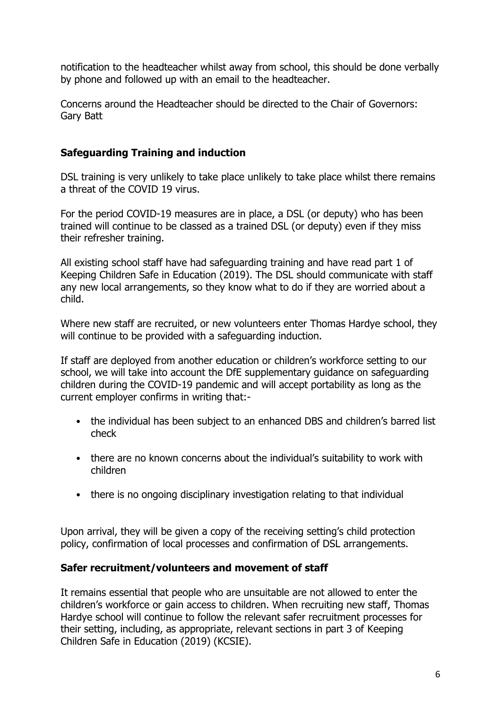notification to the headteacher whilst away from school, this should be done verbally by phone and followed up with an email to the headteacher.

Concerns around the Headteacher should be directed to the Chair of Governors: Gary Batt

# <span id="page-5-0"></span>**Safeguarding Training and induction**

DSL training is very unlikely to take place unlikely to take place whilst there remains a threat of the COVID 19 virus.

For the period COVID-19 measures are in place, a DSL (or deputy) who has been trained will continue to be classed as a trained DSL (or deputy) even if they miss their refresher training.

All existing school staff have had safeguarding training and have read part 1 of Keeping Children Safe in Education (2019). The DSL should communicate with staff any new local arrangements, so they know what to do if they are worried about a child.

Where new staff are recruited, or new volunteers enter Thomas Hardye school, they will continue to be provided with a safeguarding induction.

If staff are deployed from another education or children's workforce setting to our school, we will take into account the DfE supplementary guidance on safeguarding children during the COVID-19 pandemic and will accept portability as long as the current employer confirms in writing that:-

- the individual has been subject to an enhanced DBS and children's barred list check
- there are no known concerns about the individual's suitability to work with children
- there is no ongoing disciplinary investigation relating to that individual

Upon arrival, they will be given a copy of the receiving setting's child protection policy, confirmation of local processes and confirmation of DSL arrangements.

### <span id="page-5-1"></span>**Safer recruitment/volunteers and movement of staff**

It remains essential that people who are unsuitable are not allowed to enter the children's workforce or gain access to children. When recruiting new staff, Thomas Hardye school will continue to follow the relevant safer recruitment processes for their setting, including, as appropriate, relevant sections in part 3 of Keeping Children Safe in Education (2019) (KCSIE).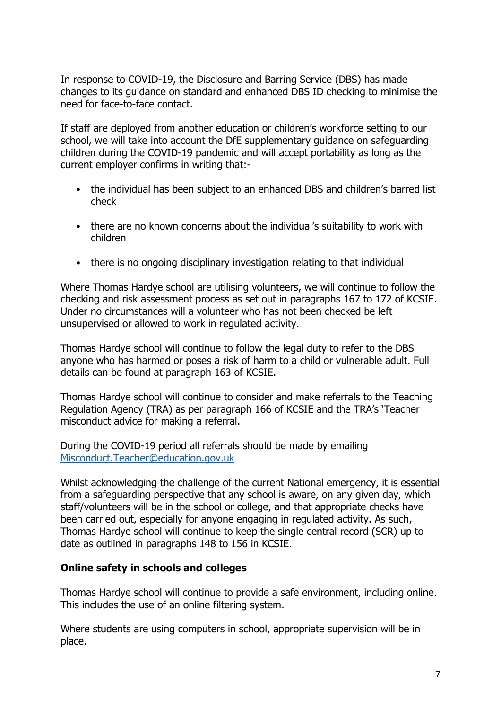In response to COVID-19, the Disclosure and Barring Service (DBS) has made changes to its guidance on standard and enhanced DBS ID checking to minimise the need for face-to-face contact.

If staff are deployed from another education or children's workforce setting to our school, we will take into account the DfE supplementary guidance on safeguarding children during the COVID-19 pandemic and will accept portability as long as the current employer confirms in writing that:-

- the individual has been subject to an enhanced DBS and children's barred list check
- there are no known concerns about the individual's suitability to work with children
- there is no ongoing disciplinary investigation relating to that individual

Where Thomas Hardye school are utilising volunteers, we will continue to follow the checking and risk assessment process as set out in paragraphs 167 to 172 of KCSIE. Under no circumstances will a volunteer who has not been checked be left unsupervised or allowed to work in regulated activity.

Thomas Hardye school will continue to follow the legal duty to refer to the DBS anyone who has harmed or poses a risk of harm to a child or vulnerable adult. Full details can be found at paragraph 163 of KCSIE.

Thomas Hardye school will continue to consider and make referrals to the Teaching Regulation Agency (TRA) as per paragraph 166 of KCSIE and the TRA's 'Teacher misconduct advice for making a referral.

During the COVID-19 period all referrals should be made by emailing [Misconduct.Teacher@education.gov.uk](mailto:Misconduct.Teacher@education.gov.uk)

Whilst acknowledging the challenge of the current National emergency, it is essential from a safeguarding perspective that any school is aware, on any given day, which staff/volunteers will be in the school or college, and that appropriate checks have been carried out, especially for anyone engaging in regulated activity. As such, Thomas Hardye school will continue to keep the single central record (SCR) up to date as outlined in paragraphs 148 to 156 in KCSIE.

#### <span id="page-6-0"></span>**Online safety in schools and colleges**

Thomas Hardye school will continue to provide a safe environment, including online. This includes the use of an online filtering system.

Where students are using computers in school, appropriate supervision will be in place.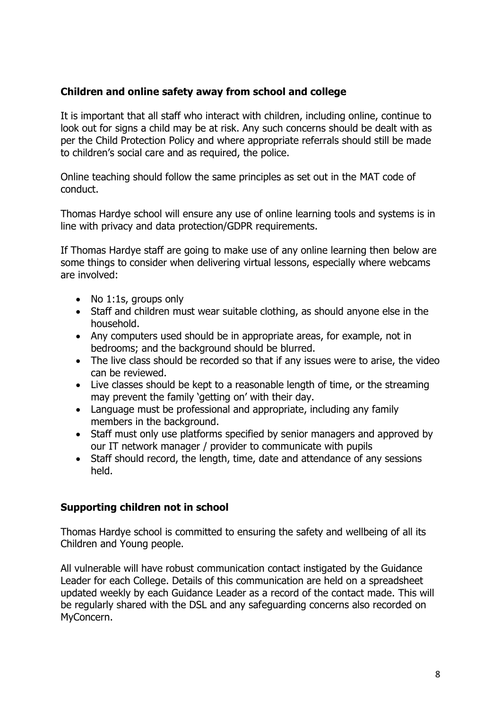# <span id="page-7-0"></span>**Children and online safety away from school and college**

It is important that all staff who interact with children, including online, continue to look out for signs a child may be at risk. Any such concerns should be dealt with as per the Child Protection Policy and where appropriate referrals should still be made to children's social care and as required, the police.

Online teaching should follow the same principles as set out in the MAT code of conduct.

Thomas Hardye school will ensure any use of online learning tools and systems is in line with privacy and data protection/GDPR requirements.

If Thomas Hardye staff are going to make use of any online learning then below are some things to consider when delivering virtual lessons, especially where webcams are involved:

- No 1:1s, groups only
- Staff and children must wear suitable clothing, as should anyone else in the household.
- Any computers used should be in appropriate areas, for example, not in bedrooms; and the background should be blurred.
- The live class should be recorded so that if any issues were to arise, the video can be reviewed.
- Live classes should be kept to a reasonable length of time, or the streaming may prevent the family 'getting on' with their day.
- Language must be professional and appropriate, including any family members in the background.
- Staff must only use platforms specified by senior managers and approved by our IT network manager / provider to communicate with pupils
- Staff should record, the length, time, date and attendance of any sessions held.

# <span id="page-7-1"></span>**Supporting children not in school**

Thomas Hardye school is committed to ensuring the safety and wellbeing of all its Children and Young people.

All vulnerable will have robust communication contact instigated by the Guidance Leader for each College. Details of this communication are held on a spreadsheet updated weekly by each Guidance Leader as a record of the contact made. This will be regularly shared with the DSL and any safeguarding concerns also recorded on MyConcern.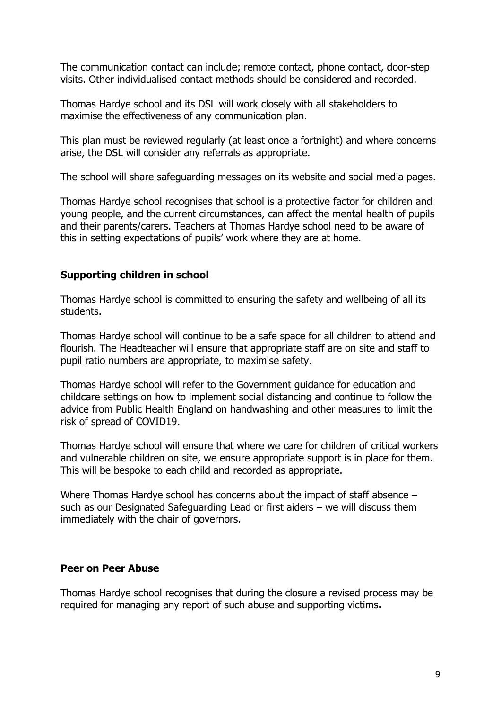The communication contact can include; remote contact, phone contact, door-step visits. Other individualised contact methods should be considered and recorded.

Thomas Hardye school and its DSL will work closely with all stakeholders to maximise the effectiveness of any communication plan.

This plan must be reviewed regularly (at least once a fortnight) and where concerns arise, the DSL will consider any referrals as appropriate.

The school will share safeguarding messages on its website and social media pages.

Thomas Hardye school recognises that school is a protective factor for children and young people, and the current circumstances, can affect the mental health of pupils and their parents/carers. Teachers at Thomas Hardye school need to be aware of this in setting expectations of pupils' work where they are at home.

# <span id="page-8-0"></span>**Supporting children in school**

Thomas Hardye school is committed to ensuring the safety and wellbeing of all its students.

Thomas Hardye school will continue to be a safe space for all children to attend and flourish. The Headteacher will ensure that appropriate staff are on site and staff to pupil ratio numbers are appropriate, to maximise safety.

Thomas Hardye school will refer to the Government guidance for education and childcare settings on how to implement social distancing and continue to follow the advice from Public Health England on handwashing and other measures to limit the risk of spread of COVID19.

Thomas Hardye school will ensure that where we care for children of critical workers and vulnerable children on site, we ensure appropriate support is in place for them. This will be bespoke to each child and recorded as appropriate.

Where Thomas Hardye school has concerns about the impact of staff absence – such as our Designated Safeguarding Lead or first aiders – we will discuss them immediately with the chair of governors.

### <span id="page-8-1"></span>**Peer on Peer Abuse**

Thomas Hardye school recognises that during the closure a revised process may be required for managing any report of such abuse and supporting victims**.**